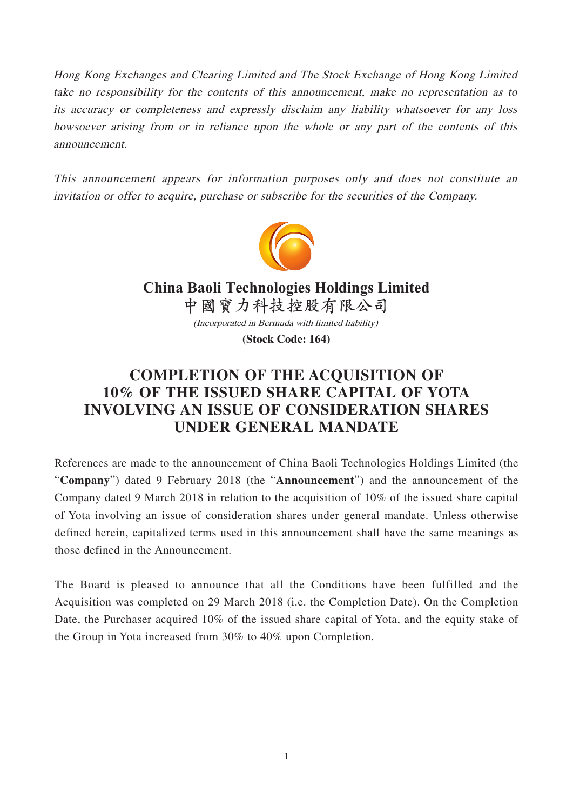Hong Kong Exchanges and Clearing Limited and The Stock Exchange of Hong Kong Limited take no responsibility for the contents of this announcement, make no representation as to its accuracy or completeness and expressly disclaim any liability whatsoever for any loss howsoever arising from or in reliance upon the whole or any part of the contents of this announcement.

This announcement appears for information purposes only and does not constitute an invitation or offer to acquire, purchase or subscribe for the securities of the Company.



(Incorporated in Bermuda with limited liability) **(Stock Code: 164) China Baoli Technologies Holdings Limited 中國寶力科技控股有限公司**

## **COMPLETION OF THE ACQUISITION OF 10% OF THE ISSUED SHARE CAPITAL OF YOTA INVOLVING AN ISSUE OF CONSIDERATION SHARES UNDER GENERAL MANDATE**

References are made to the announcement of China Baoli Technologies Holdings Limited (the "**Company**") dated 9 February 2018 (the "**Announcement**") and the announcement of the Company dated 9 March 2018 in relation to the acquisition of 10% of the issued share capital of Yota involving an issue of consideration shares under general mandate. Unless otherwise defined herein, capitalized terms used in this announcement shall have the same meanings as those defined in the Announcement.

The Board is pleased to announce that all the Conditions have been fulfilled and the Acquisition was completed on 29 March 2018 (i.e. the Completion Date). On the Completion Date, the Purchaser acquired 10% of the issued share capital of Yota, and the equity stake of the Group in Yota increased from 30% to 40% upon Completion.